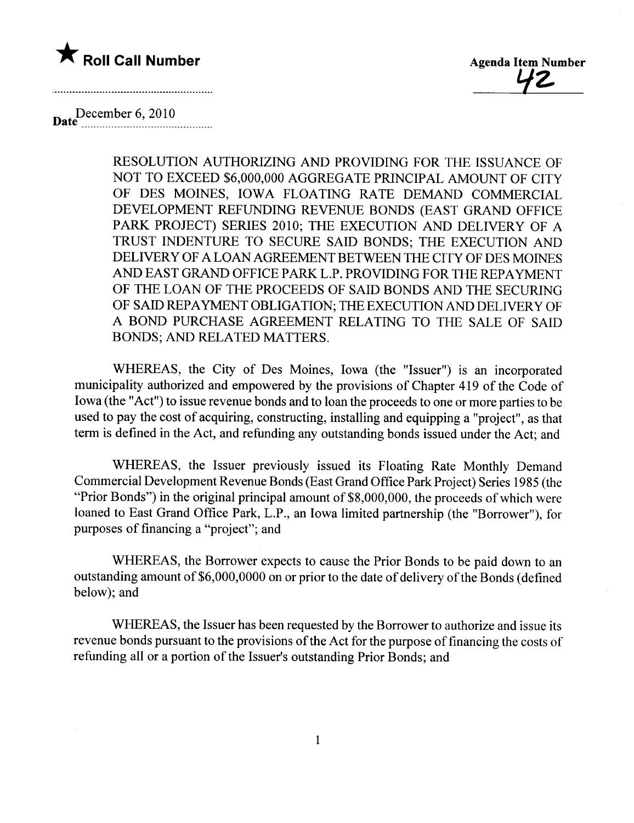



December 6, 2010 Date~\_~\_~\_~\_~~~~\_~~\_~\_~~~\_....\_\_\_\_\_\_\_\_

> RESOLUTION AUTHORIZING AND PROVIDING FOR THE ISSUANCE OF NOT TO EXCEED \$6,000,000 AGGREGATE PRINCIPAL AMOUNT OF CITY OF DES MOINES, IOWA FLOATING RATE DEMAND COMMERCIAL DEVELOPMENT REFUNDING REVENUE BONDS (EAST GRAND OFFICE PARK PROJECT) SERIES 2010; THE EXECUTION AND DELIVERY OF A TRUST INDENTURE TO SECURE SAID BONDS; THE EXECUTION AND DELIVERY OF A LOAN AGREEMENT BETWEEN THE CITY OF DES MOINS AND EAST GRAND OFFICE PARK L.P. PROVIDING FOR THE REPAYMENT OF THE LOAN OF THE PROCEEDS OF SAID BONDS AND THE SECURING OF SAID REPAYMENT OBLIGATION; THE EXECUTION AND DELIVERY OF A BOND PURCHASE AGREEMENT RELATING TO THE SALE OF SAID BONDS; AND RELATED MATTERS.

WHEREAS, the City of Des Moines, Iowa (the "Issuer") is an incorporated municipality authorized and empowered by the provisions of Chapter 419 of the Code of Iowa (the "Act") to issue revenue bonds and to loan the proceeds to one or more parties to be used to pay the cost of acquiring, constructing, installing and equipping a "project", as that term is defined in the Act, and refunding any outstanding bonds issued under the Act; and

WHEREAS, the Issuer previously issued its Floating Rate Monthly Demand Commercial Development Revenue Bonds (East Grand Office Park Project) Series i 985 (the "Prior Bonds") in the original principal amount of  $$8,000,000$ , the proceeds of which were loaned to East Grand Office Park, L.P., an Iowa limited partnership (the "Borrower"), for purposes of financing a "project"; and

WHEREAS, the Borrower expects to cause the Prior Bonds to be paid down to an outstanding amount of \$6,000,0000 on or prior to the date of delivery of the Bonds (defined below); and

WHEREAS, the Issuer has been requested by the Borrower to authorize and issue its revenue bonds pursuant to the provisions of the Act for the purpose of financing the costs of refunding all or a portion of the Issuer's outstanding Prior Bonds; and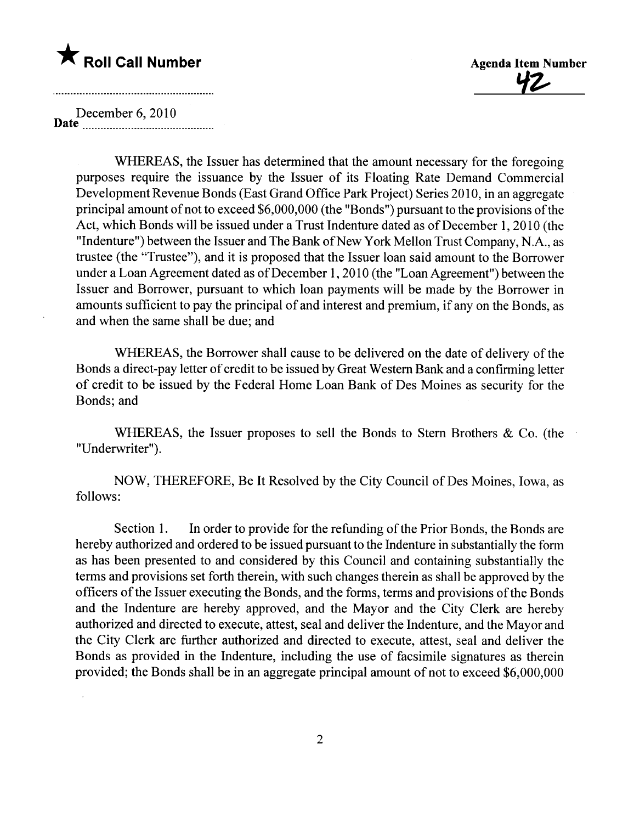

<u>42</u>

December 6, 2010 Date \_ \_ \_ \_ \_ \_ \_ \_ \_\_\_ \_ \_\_\_ \_ \_\_\_\_ \_\_\_\_\_\_\_\_\_\_\_\_\_ \_ \_\_\_\_\_\_\_ \_\_\_

> WHEREAS, the Issuer has determined that the amount necessary for the foregoing purposes require the issuance by the Issuer of its Floating Rate Demand Commercial Development Revenue Bonds (East Grand Office Park Project) Series 2010, in an aggregate principal amount of not to exceed \$6,000,000 (the "Bonds") pursuant to the provisions of the Act, which Bonds will be issued under a Trust Indenture dated as of December 1, 2010 (the "Indenture") between the Issuer and The Bank of New York Mellon Trust Company, N.A., as trustee (the "Trustee"), and it is proposed that the Issuer loan said amount to the Borrower under a Loan Agreement dated as of December 1,2010 (the "Loan Agreement") between the Issuer and Borrower, pursuant to which loan payments wil be made by the Borrower in amounts sufficient to pay the principal of and interest and premium, if any on the Bonds, as and when the same shall be due; and

> WHEREAS, the Borrower shall cause to be delivered on the date of delivery of the Bonds a direct-pay letter of credit to be issued by Great Western Bank and a confirming letter of credit to be issued by the Federal Home Loan Bank of Des Moines as security for the Bonds; and

> WHEREAS, the Issuer proposes to sell the Bonds to Stern Brothers & Co. (the "Underwriter").

> NOW, THEREFORE, Be It Resolved by the City Council of Des Moines, Iowa, as follows:

> Section I. In order to provide for the refunding of the Prior Bonds, the Bonds are hereby authorized and ordered to be issued pursuant to the Indenture in substantially the form as has been presented to and considered by this Council and containing substantially the terms and provisions set forth therein, with such changes therein as shall be approved by the officers of the Issuer executing the Bonds, and the forms, terms and provisions of the Bonds and the Indenture are hereby approved, and the Mayor and the City Clerk are hereby authorized and directed to execute, attest, seal and deliver the Indenture, and the Mayor and the City Clerk are further authorized and directed to execute, attest, seal and deliver the Bonds as provided in the Indenture, including the use of facsimile signatures as therein provided; the Bonds shall be in an aggregate principal amount of not to exceed \$6,000,000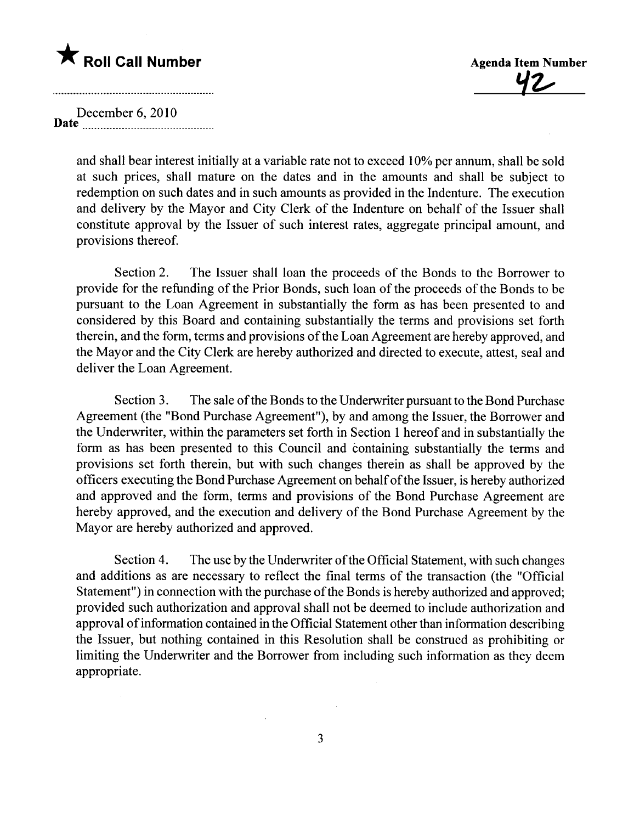## \* Roll Call Number Agenda Item Number

'lz,

December 6, 2010 Date \_ \_u\_.. \_u \_u uu \_ \_uuu \_ \_ \_ \_ \_ uuu\_ \_ \_ u \_ \_\_

> and shall bear interest initially at a variable rate not to exceed 10% per annum, shall be sold at such prices, shall mature on the dates and in the amounts and shall be subject to redemption on such dates and in such amounts as provided in the Indenture. The execution and delivery by the Mayor and City Clerk of the Indenture on behalf of the Issuer shall constitute approval by the Issuer of such interest rates, aggregate principal amount, and provisions thereof.

> Section 2. The Issuer shall loan the proceeds of the Bonds to the Borrower to provide for the refunding of the Prior Bonds, such loan of the proceeds of the Bonds to be pursuant to the Loan Agreement in substantially the form as has been presented to and considered by this Board and containing substantially the terms and provisions set forth therein, and the form, terms and provisions of the Loan Agreement are hereby approved, and the Mayor and the City Clerk are hereby authorized and directed to execute, attest, seal and deliver the Loan Agreement.

> Section 3. The sale of the Bonds to the Underwriter pursuant to the Bond Purchase Agreement (the "Bond Purchase Agreement"), by and among the Issuer, the Borrower and the Underwriter, within the parameters set forth in Section 1 hereof and in substantially the form as has been presented to this Council and containing substantially the terms and provisions set forth therein, but with such changes therein as shall be approved by the officers executing the Bond Purchase Agreement on behalf ofthe Issuer, is hereby authorized and approved and the form, terms and provisions of the Bond Purchase Agreement are hereby approved, and the execution and delivery of the Bond Purchase Agreement by the Mayor are hereby authorized and approved.

> Section 4. The use by the Underwriter of the Official Statement, with such changes and additions as are necessary to reflect the final terms of the transaction (the "Official Statement") in connection with the purchase of the Bonds is hereby authorized and approved; provided such authorization and approval shall not be deemed to include authorization and approval of information contained in the Official Statement other than information describing the Issuer, but nothing contained in this Resolution shall be construed as prohibiting or limiting the Underwriter and the Borrower from including such information as they deem appropriate.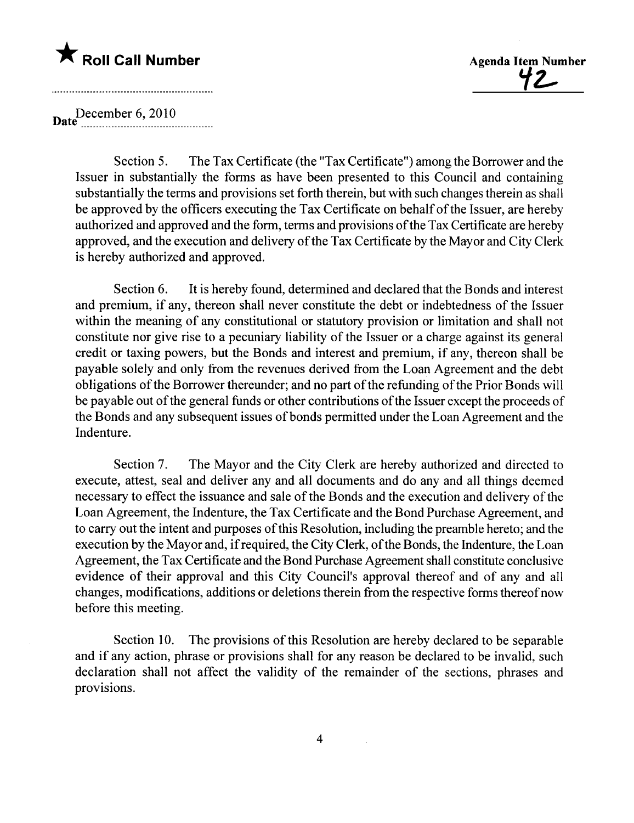## \* Roll Call Number Agenda Item Number



December 6, 2010

Section 5. The Tax Certificate (the "Tax Certificate") among the Borrower and the Issuer in substantially the forms as have been presented to this Council and containing substantially the terms and provisions set forth therein, but with such changes therein as shall be approved by the officers executing the Tax Certificate on behalf of the Issuer, are hereby authorized and approved and the form, terms and provisions of the Tax Certificate are hereby approved, and the execution and delivery of the Tax Certificate by the Mayor and City Clerk is hereby authorized and approved.

Section 6. It is hereby found, determined and declared that the Bonds and interest and premium, if any, thereon shall never constitute the debt or indebtedness of the Issuer within the meaning of any constitutional or statutory provision or limitation and shall not constitute nor give rise to a pecuniary liabilty of the Issuer or a charge against its general credit or taxing powers, but the Bonds and interest and premium, if any, thereon shall be payable solely and only from the revenues derived from the Loan Agreement and the debt obligations of the Borrower thereunder; and no part of the refunding of the Prior Bonds will be payable out of the general funds or other contributions of the Issuer except the proceeds of the Bonds and any subsequent issues of bonds permitted under the Loan Agreement and the Indenture.

Section 7. The Mayor and the City Clerk are hereby authorized and directed to execute, attest, seal and deliver any and all documents and do any and all things deemed necessary to effect the issuance and sale of the Bonds and the execution and delivery of the Loan Agreement, the Indenture, the Tax Certificate and the Bond Purchase Agreement, and to carry out the intent and purposes of this Resolution, including the preamble hereto; and the execution by the Mayor and, if required, the City Clerk, of the Bonds, the Indenture, the Loan Agreement, the Tax Certificate and the Bond Purchase Agreement shall constitute conclusive evidence of their approval and this City Council's approval thereof and of any and all changes, modifications, additions or deletions therein from the respective forms thereof now before this meeting.

Section 10. The provisions of this Resolution are hereby declared to be separable and if any action, phrase or provisions shall for any reason be declared to be invalid, such declaration shall not affect the validity of the remainder of the sections, phrases and provisions.